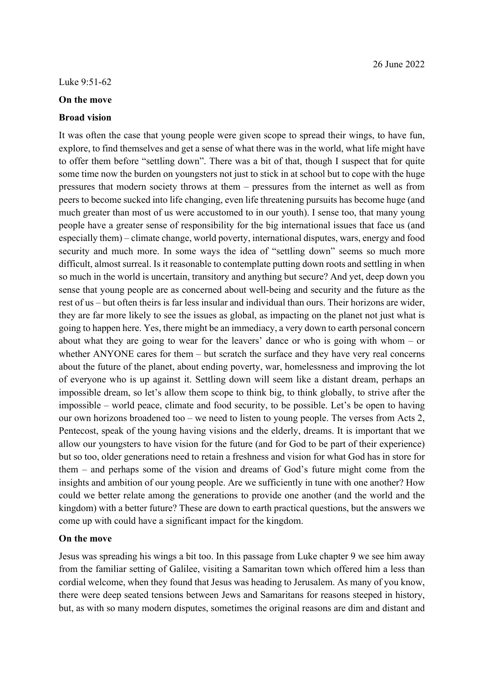## **On the move**

## **Broad vision**

It was often the case that young people were given scope to spread their wings, to have fun, explore, to find themselves and get a sense of what there was in the world, what life might have to offer them before "settling down". There was a bit of that, though I suspect that for quite some time now the burden on youngsters not just to stick in at school but to cope with the huge pressures that modern society throws at them – pressures from the internet as well as from peers to become sucked into life changing, even life threatening pursuits has become huge (and much greater than most of us were accustomed to in our youth). I sense too, that many young people have a greater sense of responsibility for the big international issues that face us (and especially them) – climate change, world poverty, international disputes, wars, energy and food security and much more. In some ways the idea of "settling down" seems so much more difficult, almost surreal. Is it reasonable to contemplate putting down roots and settling in when so much in the world is uncertain, transitory and anything but secure? And yet, deep down you sense that young people are as concerned about well-being and security and the future as the rest of us – but often theirs is far less insular and individual than ours. Their horizons are wider, they are far more likely to see the issues as global, as impacting on the planet not just what is going to happen here. Yes, there might be an immediacy, a very down to earth personal concern about what they are going to wear for the leavers' dance or who is going with whom – or whether ANYONE cares for them – but scratch the surface and they have very real concerns about the future of the planet, about ending poverty, war, homelessness and improving the lot of everyone who is up against it. Settling down will seem like a distant dream, perhaps an impossible dream, so let's allow them scope to think big, to think globally, to strive after the impossible – world peace, climate and food security, to be possible. Let's be open to having our own horizons broadened too – we need to listen to young people. The verses from Acts 2, Pentecost, speak of the young having visions and the elderly, dreams. It is important that we allow our youngsters to have vision for the future (and for God to be part of their experience) but so too, older generations need to retain a freshness and vision for what God has in store for them – and perhaps some of the vision and dreams of God's future might come from the insights and ambition of our young people. Are we sufficiently in tune with one another? How could we better relate among the generations to provide one another (and the world and the kingdom) with a better future? These are down to earth practical questions, but the answers we come up with could have a significant impact for the kingdom.

## **On the move**

Jesus was spreading his wings a bit too. In this passage from Luke chapter 9 we see him away from the familiar setting of Galilee, visiting a Samaritan town which offered him a less than cordial welcome, when they found that Jesus was heading to Jerusalem. As many of you know, there were deep seated tensions between Jews and Samaritans for reasons steeped in history, but, as with so many modern disputes, sometimes the original reasons are dim and distant and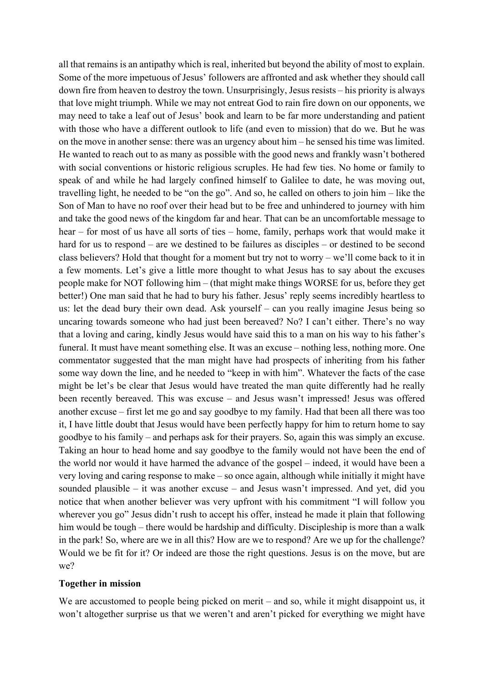all that remains is an antipathy which is real, inherited but beyond the ability of most to explain. Some of the more impetuous of Jesus' followers are affronted and ask whether they should call down fire from heaven to destroy the town. Unsurprisingly, Jesus resists – his priority is always that love might triumph. While we may not entreat God to rain fire down on our opponents, we may need to take a leaf out of Jesus' book and learn to be far more understanding and patient with those who have a different outlook to life (and even to mission) that do we. But he was on the move in another sense: there was an urgency about him – he sensed his time was limited. He wanted to reach out to as many as possible with the good news and frankly wasn't bothered with social conventions or historic religious scruples. He had few ties. No home or family to speak of and while he had largely confined himself to Galilee to date, he was moving out, travelling light, he needed to be "on the go". And so, he called on others to join him – like the Son of Man to have no roof over their head but to be free and unhindered to journey with him and take the good news of the kingdom far and hear. That can be an uncomfortable message to hear – for most of us have all sorts of ties – home, family, perhaps work that would make it hard for us to respond – are we destined to be failures as disciples – or destined to be second class believers? Hold that thought for a moment but try not to worry – we'll come back to it in a few moments. Let's give a little more thought to what Jesus has to say about the excuses people make for NOT following him – (that might make things WORSE for us, before they get better!) One man said that he had to bury his father. Jesus' reply seems incredibly heartless to us: let the dead bury their own dead. Ask yourself – can you really imagine Jesus being so uncaring towards someone who had just been bereaved? No? I can't either. There's no way that a loving and caring, kindly Jesus would have said this to a man on his way to his father's funeral. It must have meant something else. It was an excuse – nothing less, nothing more. One commentator suggested that the man might have had prospects of inheriting from his father some way down the line, and he needed to "keep in with him". Whatever the facts of the case might be let's be clear that Jesus would have treated the man quite differently had he really been recently bereaved. This was excuse – and Jesus wasn't impressed! Jesus was offered another excuse – first let me go and say goodbye to my family. Had that been all there was too it, I have little doubt that Jesus would have been perfectly happy for him to return home to say goodbye to his family – and perhaps ask for their prayers. So, again this was simply an excuse. Taking an hour to head home and say goodbye to the family would not have been the end of the world nor would it have harmed the advance of the gospel – indeed, it would have been a very loving and caring response to make – so once again, although while initially it might have sounded plausible – it was another excuse – and Jesus wasn't impressed. And yet, did you notice that when another believer was very upfront with his commitment "I will follow you wherever you go" Jesus didn't rush to accept his offer, instead he made it plain that following him would be tough – there would be hardship and difficulty. Discipleship is more than a walk in the park! So, where are we in all this? How are we to respond? Are we up for the challenge? Would we be fit for it? Or indeed are those the right questions. Jesus is on the move, but are we?

## **Together in mission**

We are accustomed to people being picked on merit – and so, while it might disappoint us, it won't altogether surprise us that we weren't and aren't picked for everything we might have